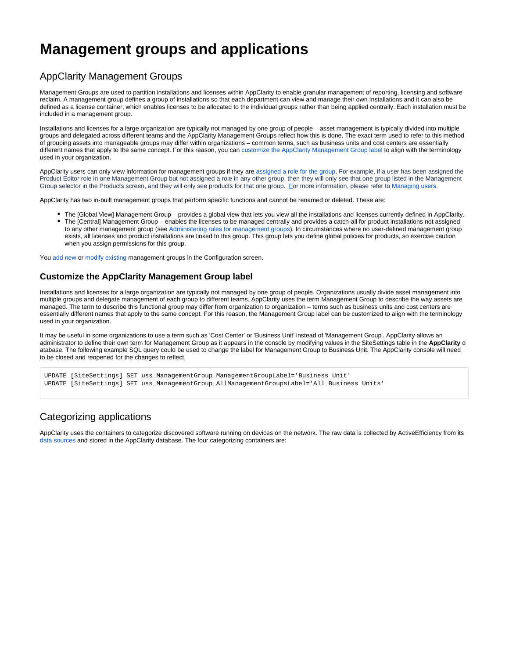## **Management groups and applications**

## AppClarity Management Groups

Management Groups are used to partition installations and licenses within AppClarity to enable granular management of reporting, licensing and software reclaim. A management group defines a group of installations so that each department can view and manage their own Installations and it can also be defined as a license container, which enables licenses to be allocated to the individual groups rather than being applied centrally. Each installation must be included in a management group.

Installations and licenses for a large organization are typically not managed by one group of people – asset management is typically divided into multiple groups and delegated across different teams and the AppClarity Management Groups reflect how this is done. The exact term used to refer to this method of grouping assets into manageable groups may differ within organizations – common terms, such as business units and cost centers are essentially different names that apply to the same concept. For this reason, you can [customize the AppClarity Management Group label](https://help.1e.com/display/APC52/Management+groups+and+applications#Managementgroupsandapplications-CustomizetheAppClarityManagementGrouplabel) to align with the terminology used in your organization.

AppClarity users can only view information for management groups if they are [assigned a role for the group.](https://help.1e.com/display/APC52/Managing+users) For example, if a user has been assigned the Product Editor role in one Management Group but not assigned a role in any other group, then they will only see that one group listed in the Management Group selector in the Products screen, and they will only see products for that one group. [F](https://confluence.1e.com/display/APC52/Managing+users)or more information, please refer to [Managing users.](https://help.1e.com/display/APC52/Managing+users)

AppClarity has two in-built management groups that perform specific functions and cannot be renamed or deleted. These are:

The [Global View] Management Group – provides a global view that lets you view all the installations and licenses currently defined in AppClarity. The [Central] Management Group – enables the licenses to be managed centrally and provides a catch-all for product installations not assigned to any other management group (see Administering rules for management groups). In circumstances where no user-defined management group exists, all licenses and product installations are linked to this group. This group lets you define global policies for products, so exercise caution when you assign permissions for this group.

You add new or modify existing management groups in the Configuration screen.

## **Customize the AppClarity Management Group label**

Installations and licenses for a large organization are typically not managed by one group of people. Organizations usually divide asset management into multiple groups and delegate management of each group to different teams. AppClarity uses the term Management Group to describe the way assets are managed. The term to describe this functional group may differ from organization to organization – terms such as business units and cost centers are essentially different names that apply to the same concept. For this reason, the Management Group label can be customized to align with the terminology used in your organization.

It may be useful in some organizations to use a term such as 'Cost Center' or 'Business Unit' instead of 'Management Group'. AppClarity allows an administrator to define their own term for Management Group as it appears in the console by modifying values in the SiteSettings table in the **AppClarity** d atabase. The following example SQL query could be used to change the label for Management Group to Business Unit. The AppClarity console will need to be closed and reopened for the changes to reflect.

UPDATE [SiteSettings] SET uss\_ManagementGroup\_ManagementGroupLabel='Business Unit' UPDATE [SiteSettings] SET uss\_ManagementGroup\_AllManagementGroupsLabel='All Business Units'

## Categorizing applications

AppClarity uses the containers to categorize discovered software running on devices on the network. The raw data is collected by ActiveEfficiency from its [data sources](https://help.1e.com/display/APC52/Capturing+data+for+your+software+inventory) and stored in the AppClarity database. The four categorizing containers are: